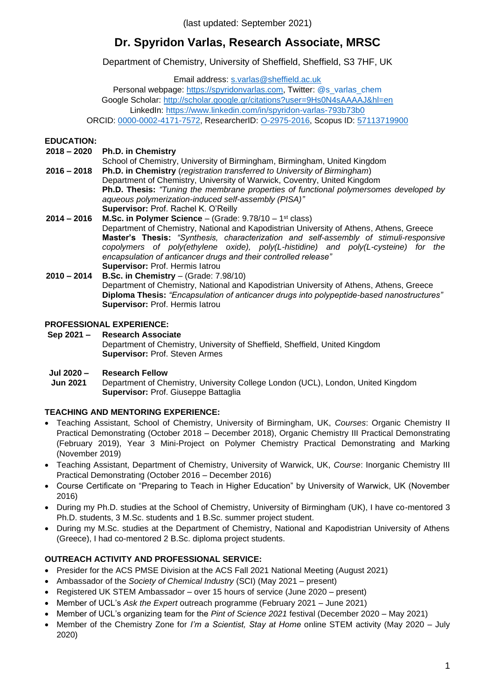(last updated: September 2021)

# **Dr. Spyridon Varlas, Research Associate, MRSC**

Department of Chemistry, University of Sheffield, Sheffield, S3 7HF, UK

Email address: [s.varlas@sheffield.ac.uk](mailto:s.varlas@sheffield.ac.uk)

Personal webpage: [https://spyridonvarlas.com,](https://spyridonvarlas.com/) Twitter: [@s\\_varlas\\_chem](https://twitter.com/s_varlas_chem) Google Scholar:<http://scholar.google.gr/citations?user=9Hs0N4sAAAAJ&hl=en> LinkedIn:<https://www.linkedin.com/in/spyridon-varlas-793b73b0> ORCID: [0000-0002-4171-7572,](http://orcid.org/0000-0002-4171-7572) ResearcherID: [O-2975-2016,](https://publons.com/researcher/2210186/spyridon-varlas/) Scopus ID: [57113719900](https://www.scopus.com/authid/detail.uri?authorId=57113719900)

#### **EDUCATION:**

- **2018 – 2020 Ph.D. in Chemistry**
- **2016 – 2018** School of Chemistry, University of Birmingham, Birmingham, United Kingdom **Ph.D. in Chemistry** (*registration transferred to University of Birmingham*) Department of Chemistry, University of Warwick, Coventry, United Kingdom **Ph.D. Thesis:** *"Tuning the membrane properties of functional polymersomes developed by aqueous polymerization-induced self-assembly (PISA)"* **Supervisor:** Prof. Rachel K. O'Reilly

**2014 – 2016 M.Sc. in Polymer Science** – (Grade: 9.78/10 – 1 st class) Department of Chemistry, National and Kapodistrian University of Athens, Athens, Greece **Master's Thesis:** *"Synthesis, characterization and self-assembly of stimuli-responsive copolymers of poly(ethylene oxide), poly(L-histidine) and poly(L-cysteine) for the encapsulation of anticancer drugs and their controlled release"* **Supervisor:** Prof. Hermis Iatrou **2010 – 2014 B.Sc. in Chemistry** – (Grade: 7.98/10)

Department of Chemistry, National and Kapodistrian University of Athens, Athens, Greece **Diploma Thesis:** *"Encapsulation of anticancer drugs into polypeptide-based nanostructures"* **Supervisor:** Prof. Hermis Iatrou

#### **PROFESSIONAL EXPERIENCE:**

**Sep 2021 – Research Associate** Department of Chemistry, University of Sheffield, Sheffield, United Kingdom **Supervisor:** Prof. Steven Armes

#### **Jul 2020 – Research Fellow**

**Jun 2021** Department of Chemistry, University College London (UCL), London, United Kingdom **Supervisor:** Prof. Giuseppe Battaglia

#### **TEACHING AND MENTORING EXPERIENCE:**

- Teaching Assistant, School of Chemistry, University of Birmingham, UK, *Courses*: Organic Chemistry II Practical Demonstrating (October 2018 – December 2018), Organic Chemistry III Practical Demonstrating (February 2019), Year 3 Mini-Project on Polymer Chemistry Practical Demonstrating and Marking (November 2019)
- Teaching Assistant, Department of Chemistry, University of Warwick, UK, *Course*: Inorganic Chemistry III Practical Demonstrating (October 2016 – December 2016)
- Course Certificate on "Preparing to Teach in Higher Education" by University of Warwick, UK (November 2016)
- During my Ph.D. studies at the School of Chemistry, University of Birmingham (UK), I have co-mentored 3 Ph.D. students, 3 M.Sc. students and 1 B.Sc. summer project student.
- During my M.Sc. studies at the Department of Chemistry, National and Kapodistrian University of Athens (Greece), I had co-mentored 2 B.Sc. diploma project students.

#### **OUTREACH ACTIVITY AND PROFESSIONAL SERVICE:**

- Presider for the ACS PMSE Division at the ACS Fall 2021 National Meeting (August 2021)
- Ambassador of the *Society of Chemical Industry* (SCI) (May 2021 present)
- Registered UK STEM Ambassador over 15 hours of service (June 2020 present)
- Member of UCL's *Ask the Expert* outreach programme (February 2021 June 2021)
- Member of UCL's organizing team for the *Pint of Science 2021* festival (December 2020 May 2021)
- Member of the Chemistry Zone for *I'm a Scientist, Stay at Home* online STEM activity (May 2020 July 2020)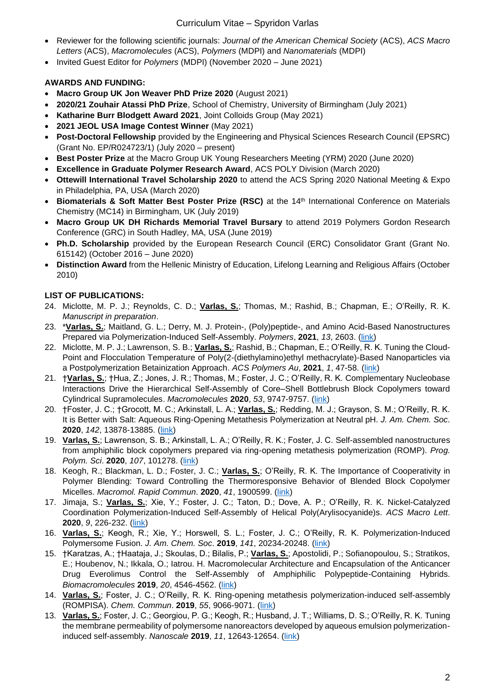#### Curriculum Vitae – Spyridon Varlas

- Reviewer for the following scientific journals: *Journal of the American Chemical Society* (ACS), *ACS Macro Letters* (ACS), *Macromolecules* (ACS), *Polymers* (MDPI) and *Nanomaterials* (MDPI)
- Invited Guest Editor for *Polymers* (MDPI) (November 2020 June 2021)

### **AWARDS AND FUNDING:**

- **Macro Group UK Jon Weaver PhD Prize 2020** (August 2021)
- **2020/21 Zouhair Atassi PhD Prize**, School of Chemistry, University of Birmingham (July 2021)
- **Katharine Burr Blodgett Award 2021**, Joint Colloids Group (May 2021)
- **2021 JEOL USA Image Contest Winner** (May 2021)
- **Post-Doctoral Fellowship** provided by the Engineering and Physical Sciences Research Council (EPSRC) (Grant No. EP/R024723/1) (July 2020 – present)
- **Best Poster Prize** at the Macro Group UK Young Researchers Meeting (YRM) 2020 (June 2020)
- **Excellence in Graduate Polymer Research Award**, ACS POLY Division (March 2020)
- **Ottewill International Travel Scholarship 2020** to attend the ACS Spring 2020 National Meeting & Expo in Philadelphia, PA, USA (March 2020)
- **Biomaterials & Soft Matter Best Poster Prize (RSC)** at the 14th International Conference on Materials Chemistry (MC14) in Birmingham, UK (July 2019)
- **Macro Group UK DH Richards Memorial Travel Bursary** to attend 2019 Polymers Gordon Research Conference (GRC) in South Hadley, MA, USA (June 2019)
- **Ph.D. Scholarship** provided by the European Research Council (ERC) Consolidator Grant (Grant No. 615142) (October 2016 – June 2020)
- **Distinction Award** from the Hellenic Ministry of Education, Lifelong Learning and Religious Affairs (October 2010)

### **LIST OF PUBLICATIONS:**

- 24. Miclotte, M. P. J.; Reynolds, C. D.; **Varlas, S.**; Thomas, M.; Rashid, B.; Chapman, E.; O'Reilly, R. K. *Manuscript in preparation*.
- 23. \***Varlas, S.**; Maitland, G. L.; Derry, M. J. Protein-, (Poly)peptide-, and Amino Acid-Based Nanostructures Prepared via Polymerization-Induced Self-Assembly. *Polymers*, **2021**, *13*, 2603. (link)
- 22. Miclotte, M. P. J.; Lawrenson, S. B.; **Varlas, S.**; Rashid, B.; Chapman, E.; O'Reilly, R. K. Tuning the Cloud-Point and Flocculation Temperature of Poly(2-(diethylamino)ethyl methacrylate)-Based Nanoparticles via a Postpolymerization Betainization Approach. *ACS Polymers Au*, **2021**, *1*, 47-58. (link)
- 21. †**Varlas, S.**; †Hua, Z.; Jones, J. R.; Thomas, M.; Foster, J. C.; O'Reilly, R. K. Complementary Nucleobase Interactions Drive the Hierarchical Self-Assembly of Core–Shell Bottlebrush Block Copolymers toward Cylindrical Supramolecules. *Macromolecules* **2020**, *53*, 9747-9757. (link)
- 20. †Foster, J. C.; †Grocott, M. C.; Arkinstall, L. A.; **Varlas, S.**; Redding, M. J.; Grayson, S. M.; O'Reilly, R. K. It is Better with Salt: Aqueous Ring-Opening Metathesis Polymerization at Neutral pH. *J. Am. Chem. Soc*. **2020**, *142*, 13878-13885. (link)
- 19. **Varlas, S.**; Lawrenson, S. B.; Arkinstall, L. A.; O'Reilly, R. K.; Foster, J. C. Self-assembled nanostructures from amphiphilic block copolymers prepared via ring-opening metathesis polymerization (ROMP). *Prog. Polym. Sci*. **2020**, *107*, 101278. (link)
- 18. Keogh, R.; Blackman, L. D.; Foster, J. C.; **Varlas, S.**; O'Reilly, R. K. The Importance of Cooperativity in Polymer Blending: Toward Controlling the Thermoresponsive Behavior of Blended Block Copolymer Micelles. *Macromol. Rapid Commun*. **2020**, *41*, 1900599. (link)
- 17. Jimaja, S.; **Varlas, S.**; Xie, Y.; Foster, J. C.; Taton, D.; Dove, A. P.; O'Reilly, R. K. Nickel-Catalyzed Coordination Polymerization-Induced Self-Assembly of Helical Poly(Arylisocyanide)s. *ACS Macro Lett*. **2020**, *9*, 226-232. (link)
- 16. **Varlas, S.**; Keogh, R.; Xie, Y.; Horswell, S. L.; Foster, J. C.; O'Reilly, R. K. Polymerization-Induced Polymersome Fusion. *J. Am. Chem. Soc*. **2019**, *141*, 20234-20248. (link)
- 15. †Karatzas, A.; †Haataja, J.; Skoulas, D.; Bilalis, P.; **Varlas, S.**; Apostolidi, P.; Sofianopoulou, S.; Stratikos, E.; Houbenov, N.; Ikkala, O.; Iatrou. H. Macromolecular Architecture and Encapsulation of the Anticancer Drug Everolimus Control the Self-Assembly of Amphiphilic Polypeptide-Containing Hybrids. *Biomacromolecules* **2019**, *20*, 4546-4562. (link)
- 14. **Varlas, S.**; Foster, J. C.; O'Reilly, R. K. Ring-opening metathesis polymerization-induced self-assembly (ROMPISA). *Chem. Commun*. **2019**, *55*, 9066-9071. (link)
- 13. **Varlas, S.**; Foster, J. C.; Georgiou, P. G.; Keogh, R.; Husband, J. T.; Williams, D. S.; O'Reilly, R. K. Tuning the membrane permeability of polymersome nanoreactors developed by aqueous emulsion polymerizationinduced self-assembly. *Nanoscale* **2019**, *11*, 12643-12654. (link)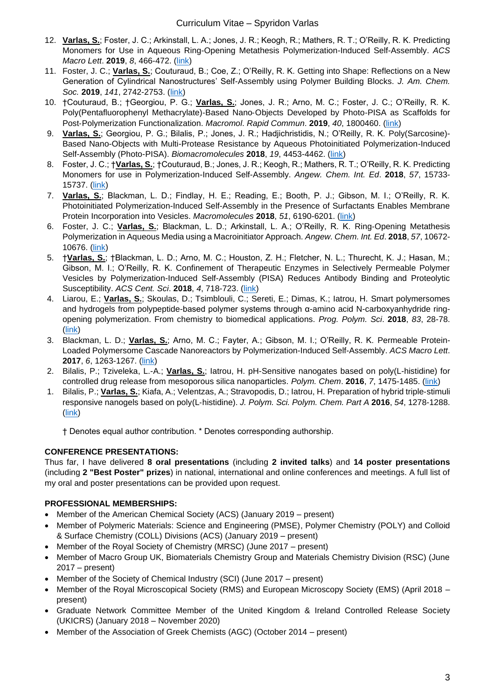- 12. **Varlas, S.**; Foster, J. C.; Arkinstall, L. A.; Jones, J. R.; Keogh, R.; Mathers, R. T.; O'Reilly, R. K. Predicting Monomers for Use in Aqueous Ring-Opening Metathesis Polymerization-Induced Self-Assembly. *ACS Macro Lett*. **2019**, *8*, 466-472. (link)
- 11. Foster, J. C.; **Varlas, S.**; Couturaud, B.; Coe, Z.; O'Reilly, R. K. Getting into Shape: Reflections on a New Generation of Cylindrical Nanostructures' Self-Assembly using Polymer Building Blocks. *J. Am. Chem. Soc.* **2019**, *141*, 2742-2753. (link)
- 10. †Couturaud, B.; †Georgiou, P. G.; **Varlas, S.**; Jones, J. R.; Arno, M. C.; Foster, J. C.; O'Reilly, R. K. Poly(Pentafluorophenyl Methacrylate)‐Based Nano‐Objects Developed by Photo‐PISA as Scaffolds for Post‐Polymerization Functionalization. *Macromol*. *Rapid Commun*. **2019**, *40*, 1800460. (link)
- 9. **Varlas, S.**; Georgiou, P. G.; Bilalis, P.; Jones, J. R.; Hadjichristidis, N.; O'Reilly, R. K. Poly(Sarcosine)- Based Nano-Objects with Multi-Protease Resistance by Aqueous Photoinitiated Polymerization-Induced Self-Assembly (Photo-PISA). *Biomacromolecules* **2018**, *19*, 4453-4462. (link)
- 8. Foster, J. C.; †**Varlas, S.**; †Couturaud, B.; Jones, J. R.; Keogh, R.; Mathers, R. T.; O'Reilly, R. K. Predicting Monomers for use in Polymerization-Induced Self-Assembly. *Angew. Chem. Int. Ed*. **2018**, *57*, 15733- 15737. (link)
- 7. **Varlas, S.**; Blackman, L. D.; Findlay, H. E.; Reading, E.; Booth, P. J.; Gibson, M. I.; O'Reilly, R. K. Photoinitiated Polymerization-Induced Self-Assembly in the Presence of Surfactants Enables Membrane Protein Incorporation into Vesicles. *Macromolecules* **2018**, *51*, 6190-6201. (link)
- 6. Foster, J. C.; **Varlas, S.**; Blackman, L. D.; Arkinstall, L. A.; O'Reilly, R. K. Ring‐Opening Metathesis Polymerization in Aqueous Media using a Macroinitiator Approach. *Angew. Chem. Int. Ed*. **2018**, *57*, 10672- 10676. (link)
- 5. †**Varlas, S.**; †Blackman, L. D.; Arno, M. C.; Houston, Z. H.; Fletcher, N. L.; Thurecht, K. J.; Hasan, M.; Gibson, M. I.; O'Reilly, R. K. Confinement of Therapeutic Enzymes in Selectively Permeable Polymer Vesicles by Polymerization-Induced Self-Assembly (PISA) Reduces Antibody Binding and Proteolytic Susceptibility. *ACS Cent. Sci*. **2018**, *4*, 718-723. (link)
- 4. Liarou, E.; **Varlas, S.**; Skoulas, D.; Tsimblouli, C.; Sereti, E.; Dimas, K.; Iatrou, H. Smart polymersomes and hydrogels from polypeptide-based polymer systems through α-amino acid N-carboxyanhydride ringopening polymerization. From chemistry to biomedical applications. *Prog. Polym. Sci*. **2018**, *83*, 28-78. (link)
- 3. Blackman, L. D.; **Varlas, S.**; Arno, M. C.; Fayter, A.; Gibson, M. I.; O'Reilly, R. K. Permeable Protein-Loaded Polymersome Cascade Nanoreactors by Polymerization-Induced Self-Assembly. *ACS Macro Lett*. **2017**, *6*, 1263-1267. (link)
- 2. Bilalis, P.; Tziveleka, L.-A.; **Varlas, S.**; Iatrou, H. pH-Sensitive nanogates based on poly(L-histidine) for controlled drug release from mesoporous silica nanoparticles. *Polym. Chem*. **2016**, *7*, 1475-1485. (link)
- 1. Bilalis, P.; **Varlas, S.**; Kiafa, A.; Velentzas, A.; Stravopodis, D.; Iatrou, H. Preparation of hybrid triple‐stimuli responsive nanogels based on poly(L‐histidine). *J. Polym. Sci. Polym. Chem. Part A* **2016**, *54*, 1278-1288. (link)

† Denotes equal author contribution. \* Denotes corresponding authorship.

#### **CONFERENCE PRESENTATIONS:**

Thus far, I have delivered **8 oral presentations** (including **2 invited talks**) and **14 poster presentations** (including **2 "Best Poster" prizes**) in national, international and online conferences and meetings. A full list of my oral and poster presentations can be provided upon request.

## **PROFESSIONAL MEMBERSHIPS:**

- Member of the American Chemical Society (ACS) (January 2019 present)
- Member of Polymeric Materials: Science and Engineering (PMSE), Polymer Chemistry (POLY) and Colloid & Surface Chemistry (COLL) Divisions (ACS) (January 2019 – present)
- Member of the Royal Society of Chemistry (MRSC) (June 2017 present)
- Member of Macro Group UK, Biomaterials Chemistry Group and Materials Chemistry Division (RSC) (June 2017 – present)
- Member of the Society of Chemical Industry (SCI) (June 2017 present)
- Member of the Royal Microscopical Society (RMS) and European Microscopy Society (EMS) (April 2018 present)
- Graduate Network Committee Member of the United Kingdom & Ireland Controlled Release Society (UKICRS) (January 2018 – November 2020)
- Member of the Association of Greek Chemists (AGC) (October 2014 present)